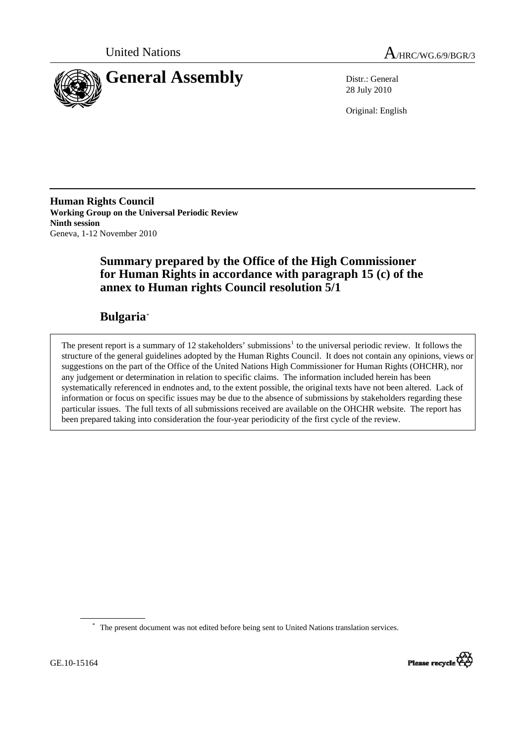



28 July 2010

Original: English

**Human Rights Council Working Group on the Universal Periodic Review Ninth session**  Geneva, 1-12 November 2010

# **Summary prepared by the Office of the High Commissioner for Human Rights in accordance with paragraph 15 (c) of the annex to Human rights Council resolution 5/1**

# **Bulgaria**[\\*](#page-0-0)

The present report is a summary of [1](#page-13-0)2 stakeholders' submissions<sup>1</sup> to the universal periodic review. It follows the structure of the general guidelines adopted by the Human Rights Council. It does not contain any opinions, views or suggestions on the part of the Office of the United Nations High Commissioner for Human Rights (OHCHR), nor any judgement or determination in relation to specific claims. The information included herein has been systematically referenced in endnotes and, to the extent possible, the original texts have not been altered. Lack of information or focus on specific issues may be due to the absence of submissions by stakeholders regarding these particular issues. The full texts of all submissions received are available on the OHCHR website. The report has been prepared taking into consideration the four-year periodicity of the first cycle of the review.



<span id="page-0-0"></span><sup>\*</sup> The present document was not edited before being sent to United Nations translation services.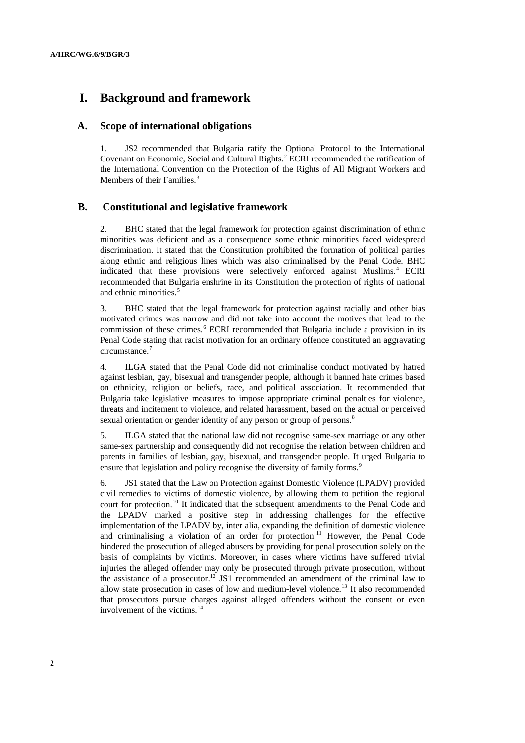## **I. Background and framework**

#### **A. Scope of international obligations**

1. JS2 recommended that Bulgaria ratify the Optional Protocol to the International Covenant on Economic, Social and Cultural Rights.<sup>[2](#page-13-1)</sup> ECRI recommended the ratification of the International Convention on the Protection of the Rights of All Migrant Workers and Members of their Families.<sup>[3](#page-13-1)</sup>

## **B. Constitutional and legislative framework**

2. BHC stated that the legal framework for protection against discrimination of ethnic minorities was deficient and as a consequence some ethnic minorities faced widespread discrimination. It stated that the Constitution prohibited the formation of political parties along ethnic and religious lines which was also criminalised by the Penal Code. BHC indicated that these provisions were selectively enforced against Muslims.[4](#page-13-1) ECRI recommended that Bulgaria enshrine in its Constitution the protection of rights of national and ethnic minorities.<sup>[5](#page-13-1)</sup>

3. BHC stated that the legal framework for protection against racially and other bias motivated crimes was narrow and did not take into account the motives that lead to the commission of these crimes.<sup>[6](#page-13-1)</sup> ECRI recommended that Bulgaria include a provision in its Penal Code stating that racist motivation for an ordinary offence constituted an aggravating circumstance.<sup>[7](#page-13-1)</sup>

4. ILGA stated that the Penal Code did not criminalise conduct motivated by hatred against lesbian, gay, bisexual and transgender people, although it banned hate crimes based on ethnicity, religion or beliefs, race, and political association. It recommended that Bulgaria take legislative measures to impose appropriate criminal penalties for violence, threats and incitement to violence, and related harassment, based on the actual or perceived sexual orientation or gender identity of any person or group of persons.<sup>[8](#page-13-1)</sup>

5. ILGA stated that the national law did not recognise same-sex marriage or any other same-sex partnership and consequently did not recognise the relation between children and parents in families of [lesbian](http://en.wikipedia.org/wiki/Lesbian), [gay,](http://en.wikipedia.org/wiki/Homosexuality) [bisexual](http://en.wikipedia.org/wiki/Bisexuality), and [transgender](http://en.wikipedia.org/wiki/Transgender) people. It urged Bulgaria to ensure that legislation and policy recognise the diversity of family forms.<sup>[9](#page-13-1)</sup>

6. JS1 stated that the Law on Protection against Domestic Violence (LPADV) provided civil remedies to victims of domestic violence, by allowing them to petition the regional court for protection.[10](#page-13-1) It indicated that the subsequent amendments to the Penal Code and the LPADV marked a positive step in addressing challenges for the effective implementation of the LPADV by, inter alia, expanding the definition of domestic violence and criminalising a violation of an order for protection.<sup>[11](#page-13-1)</sup> However, the Penal Code hindered the prosecution of alleged abusers by providing for penal prosecution solely on the basis of complaints by victims. Moreover, in cases where victims have suffered trivial injuries the alleged offender may only be prosecuted through private prosecution, without the assistance of a prosecutor.[12](#page-13-1) JS1 recommended an amendment of the criminal law to allow state prosecution in cases of low and medium-level violence.[13](#page-13-1) It also recommended that prosecutors pursue charges against alleged offenders without the consent or even involvement of the victims.[14](#page-13-1)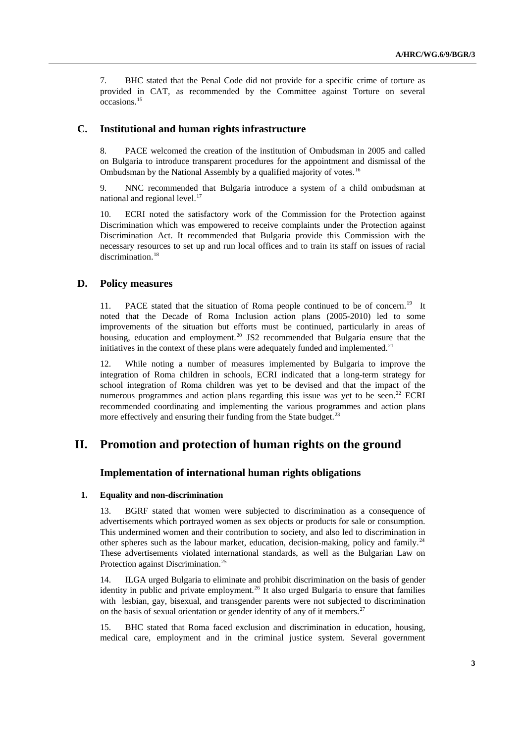7. BHC stated that the Penal Code did not provide for a specific crime of torture as provided in CAT, as recommended by the Committee against Torture on several occasions.[15](#page-13-1)

## **C. Institutional and human rights infrastructure**

8. PACE welcomed the creation of the institution of Ombudsman in 2005 and called on Bulgaria to introduce transparent procedures for the appointment and dismissal of the Ombudsman by the National Assembly by a qualified majority of votes.<sup>[16](#page-13-1)</sup>

9. NNC recommended that Bulgaria introduce a system of a child ombudsman at national and regional level.<sup>[17](#page-13-1)</sup>

10. ECRI noted the satisfactory work of the Commission for the Protection against Discrimination which was empowered to receive complaints under the Protection against Discrimination Act. It recommended that Bulgaria provide this Commission with the necessary resources to set up and run local offices and to train its staff on issues of racial discrimination.<sup>[18](#page-13-1)</sup>

## **D. Policy measures**

11. PACE stated that the situation of Roma people continued to be of concern.<sup>[19](#page-13-1)</sup> It noted that the Decade of Roma Inclusion action plans (2005-2010) led to some improvements of the situation but efforts must be continued, particularly in areas of housing, education and employment.<sup>[20](#page-13-1)</sup> JS2 recommended that Bulgaria ensure that the initiatives in the context of these plans were adequately funded and implemented.<sup>[21](#page-13-1)</sup>

12. While noting a number of measures implemented by Bulgaria to improve the integration of Roma children in schools, ECRI indicated that a long-term strategy for school integration of Roma children was yet to be devised and that the impact of the numerous programmes and action plans regarding this issue was yet to be seen.<sup>[22](#page-13-1)</sup> ECRI recommended coordinating and implementing the various programmes and action plans more effectively and ensuring their funding from the State budget.<sup>[23](#page-13-1)</sup>

## **II. Promotion and protection of human rights on the ground**

## **Implementation of international human rights obligations**

#### **1. Equality and non-discrimination**

13. BGRF stated that women were subjected to discrimination as a consequence of advertisements which portrayed women as sex objects or products for sale or consumption. This undermined women and their contribution to society, and also led to discrimination in other spheres such as the labour market, education, decision-making, policy and family.<sup>[24](#page-13-1)</sup> These advertisements violated international standards, as well as the Bulgarian Law on Protection against Discrimination.<sup>[25](#page-13-1)</sup>

14. ILGA urged Bulgaria to eliminate and prohibit discrimination on the basis of gender identity in public and private employment.<sup>[26](#page-13-1)</sup> It also urged Bulgaria to ensure that families with [lesbian](http://en.wikipedia.org/wiki/Lesbian), [gay,](http://en.wikipedia.org/wiki/Homosexuality) [bisexual](http://en.wikipedia.org/wiki/Bisexuality), and [transgender](http://en.wikipedia.org/wiki/Transgender) parents were not subjected to discrimination on the basis of sexual orientation or gender identity of any of it members.<sup>[27](#page-13-1)</sup>

15. BHC stated that Roma faced exclusion and discrimination in education, housing, medical care, employment and in the criminal justice system. Several government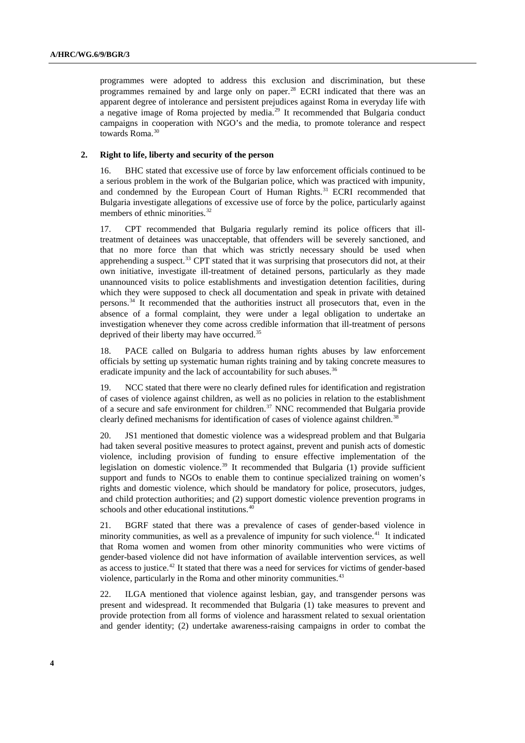programmes were adopted to address this exclusion and discrimination, but these programmes remained by and large only on paper. $^{28}$  $^{28}$  $^{28}$  ECRI indicated that there was an apparent degree of intolerance and persistent prejudices against Roma in everyday life with a negative image of Roma projected by media.[29](#page-13-1) It recommended that Bulgaria conduct campaigns in cooperation with NGO's and the media, to promote tolerance and respect towards Roma.<sup>[30](#page-13-1)</sup>

### **2. Right to life, liberty and security of the person**

16. BHC stated that excessive use of force by law enforcement officials continued to be a serious problem in the work of the Bulgarian police, which was practiced with impunity, and condemned by the European Court of Human Rights.<sup>[31](#page-13-1)</sup> ECRI recommended that Bulgaria investigate allegations of excessive use of force by the police, particularly against members of ethnic minorities.<sup>[32](#page-13-1)</sup>

17. CPT recommended that Bulgaria regularly remind its police officers that illtreatment of detainees was unacceptable, that offenders will be severely sanctioned, and that no more force than that which was strictly necessary should be used when apprehending a suspect.<sup>[33](#page-13-1)</sup> CPT stated that it was surprising that prosecutors did not, at their own initiative, investigate ill-treatment of detained persons, particularly as they made unannounced visits to police establishments and investigation detention facilities, during which they were supposed to check all documentation and speak in private with detained persons.[34](#page-13-1) It recommended that the authorities instruct all prosecutors that, even in the absence of a formal complaint, they were under a legal obligation to undertake an investigation whenever they come across credible information that ill-treatment of persons deprived of their liberty may have occurred.<sup>[35](#page-13-1)</sup>

18. PACE called on Bulgaria to address human rights abuses by law enforcement officials by setting up systematic human rights training and by taking concrete measures to eradicate impunity and the lack of accountability for such abuses.<sup>[36](#page-13-1)</sup>

19. NCC stated that there were no clearly defined rules for identification and registration of cases of violence against children, as well as no policies in relation to the establishment of a secure and safe environment for children.<sup>[37](#page-13-1)</sup> NNC recommended that Bulgaria provide clearly defined mechanisms for identification of cases of violence against children.<sup>[38](#page-13-1)</sup>

20. JS1 mentioned that domestic violence was a widespread problem and that Bulgaria had taken several positive measures to protect against, prevent and punish acts of domestic violence, including provision of funding to ensure effective implementation of the legislation on domestic violence.<sup>[39](#page-13-1)</sup> It recommended that Bulgaria (1) provide sufficient support and funds to NGOs to enable them to continue specialized training on women's rights and domestic violence, which should be mandatory for police, prosecutors, judges, and child protection authorities; and (2) support domestic violence prevention programs in schools and other educational institutions.<sup>[40](#page-13-1)</sup>

21. BGRF stated that there was a prevalence of cases of gender-based violence in minority communities, as well as a prevalence of impunity for such violence.<sup>[41](#page-13-1)</sup> It indicated that Roma women and women from other minority communities who were victims of gender-based violence did not have information of available intervention services, as well as access to justice.[42](#page-13-1) It stated that there was a need for services for victims of gender-based violence, particularly in the Roma and other minority communities.<sup>[43](#page-13-1)</sup>

22. ILGA mentioned that violence against lesbian, gay, and transgender persons was present and widespread. It recommended that Bulgaria (1) take measures to prevent and provide protection from all forms of violence and harassment related to sexual orientation and gender identity; (2) undertake awareness-raising campaigns in order to combat the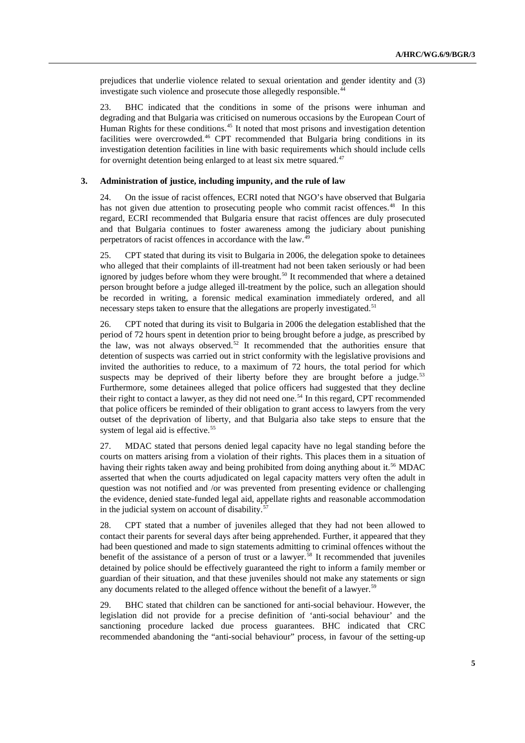prejudices that underlie violence related to sexual orientation and gender identity and (3) investigate such violence and prosecute those allegedly responsible.<sup>[44](#page-13-1)</sup>

23. BHC indicated that the conditions in some of the prisons were inhuman and degrading and that Bulgaria was criticised on numerous occasions by the European Court of Human Rights for these conditions.<sup>[45](#page-13-1)</sup> It noted that most prisons and investigation detention facilities were overcrowded.<sup>[46](#page-13-1)</sup> CPT recommended that Bulgaria bring conditions in its investigation detention facilities in line with basic requirements which should include cells for overnight detention being enlarged to at least six metre squared. $47$ 

### **3. Administration of justice, including impunity, and the rule of law**

24. On the issue of racist offences, ECRI noted that NGO's have observed that Bulgaria has not given due attention to prosecuting people who commit racist offences.<sup>[48](#page-13-1)</sup> In this regard, ECRI recommended that Bulgaria ensure that racist offences are duly prosecuted and that Bulgaria continues to foster awareness among the judiciary about punishing perpetrators of racist offences in accordance with the law.<sup>[49](#page-13-1)</sup>

25. CPT stated that during its visit to Bulgaria in 2006, the delegation spoke to detainees who alleged that their complaints of ill-treatment had not been taken seriously or had been ignored by judges before whom they were brought.<sup>[50](#page-13-1)</sup> It recommended that where a detained person brought before a judge alleged ill-treatment by the police, such an allegation should be recorded in writing, a forensic medical examination immediately ordered, and all necessary steps taken to ensure that the allegations are properly investigated.<sup>[51](#page-13-1)</sup>

26. CPT noted that during its visit to Bulgaria in 2006 the delegation established that the period of 72 hours spent in detention prior to being brought before a judge, as prescribed by the law, was not always observed.<sup>[52](#page-13-1)</sup> It recommended that the authorities ensure that detention of suspects was carried out in strict conformity with the legislative provisions and invited the authorities to reduce, to a maximum of 72 hours, the total period for which suspects may be deprived of their liberty before they are brought before a judge. $53$ Furthermore, some detainees alleged that police officers had suggested that they decline their right to contact a lawyer, as they did not need one.<sup>[54](#page-13-1)</sup> In this regard, CPT recommended that police officers be reminded of their obligation to grant access to lawyers from the very outset of the deprivation of liberty, and that Bulgaria also take steps to ensure that the system of legal aid is effective.<sup>[55](#page-13-1)</sup>

27. MDAC stated that persons denied legal capacity have no legal standing before the courts on matters arising from a violation of their rights. This places them in a situation of having their rights taken away and being prohibited from doing anything about it.<sup>[56](#page-13-1)</sup> MDAC asserted that when the courts adjudicated on legal capacity matters very often the adult in question was not notified and /or was prevented from presenting evidence or challenging the evidence, denied state-funded legal aid, appellate rights and reasonable accommodation in the judicial system on account of disability. $\dot{\mathbf{5}}$ 

28. CPT stated that a number of juveniles alleged that they had not been allowed to contact their parents for several days after being apprehended. Further, it appeared that they had been questioned and made to sign statements admitting to criminal offences without the benefit of the assistance of a person of trust or a lawyer.<sup>[58](#page-13-1)</sup> It recommended that juveniles detained by police should be effectively guaranteed the right to inform a family member or guardian of their situation, and that these juveniles should not make any statements or sign any documents related to the alleged offence without the benefit of a lawyer.<sup>[59](#page-13-1)</sup>

29. BHC stated that children can be sanctioned for anti-social behaviour. However, the legislation did not provide for a precise definition of 'anti-social behaviour' and the sanctioning procedure lacked due process guarantees. BHC indicated that CRC recommended abandoning the "anti-social behaviour" process, in favour of the setting-up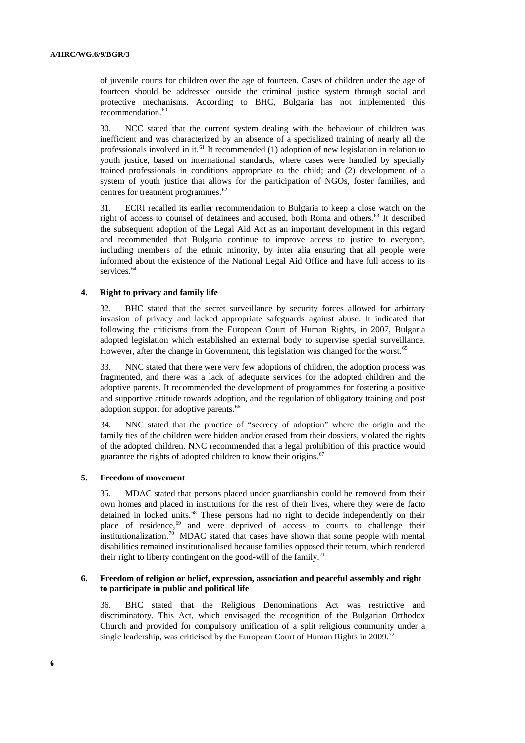of juvenile courts for children over the age of fourteen. Cases of children under the age of fourteen should be addressed outside the criminal justice system through social and protective mechanisms. According to BHC, Bulgaria has not implemented this recommendation.<sup>[60](#page-13-1)</sup>

30. NCC stated that the current system dealing with the behaviour of children was inefficient and was characterized by an absence of a specialized training of nearly all the professionals involved in it.<sup>[61](#page-13-1)</sup> It recommended (1) adoption of new legislation in relation to youth justice, based on international standards, where cases were handled by specially trained professionals in conditions appropriate to the child; and (2) development of a system of youth justice that allows for the participation of NGOs, foster families, and centres for treatment programmes.<sup>[62](#page-13-1)</sup>

31. ECRI recalled its earlier recommendation to Bulgaria to keep a close watch on the right of access to counsel of detainees and accused, both Roma and others.<sup>[63](#page-13-1)</sup> It described the subsequent adoption of the Legal Aid Act as an important development in this regard and recommended that Bulgaria continue to improve access to justice to everyone, including members of the ethnic minority, by inter alia ensuring that all people were informed about the existence of the National Legal Aid Office and have full access to its services.<sup>[64](#page-13-1)</sup>

#### **4. Right to privacy and family life**

32. BHC stated that the secret surveillance by security forces allowed for arbitrary invasion of privacy and lacked appropriate safeguards against abuse. It indicated that following the criticisms from the European Court of Human Rights, in 2007, Bulgaria adopted legislation which established an external body to supervise special surveillance. However, after the change in Government, this legislation was changed for the worst.<sup>[65](#page-13-1)</sup>

33. NNC stated that there were very few adoptions of children, the adoption process was fragmented, and there was a lack of adequate services for the adopted children and the adoptive parents. It recommended the development of programmes for fostering a positive and supportive attitude towards adoption, and the regulation of obligatory training and post adoption support for adoptive parents.<sup>[66](#page-13-1)</sup>

34. NNC stated that the practice of "secrecy of adoption" where the origin and the family ties of the children were hidden and/or erased from their dossiers, violated the rights of the adopted children. NNC recommended that a legal prohibition of this practice would guarantee the rights of adopted children to know their origins.<sup>[67](#page-13-1)</sup>

#### **5. Freedom of movement**

35. MDAC stated that persons placed under guardianship could be removed from their own homes and placed in institutions for the rest of their lives, where they were de facto detained in locked units.<sup>[68](#page-13-1)</sup> These persons had no right to decide independently on their place of residence,<sup>[69](#page-13-1)</sup> and were deprived of access to courts to challenge their institutionalization.[70](#page-13-1) MDAC stated that cases have shown that some people with mental disabilities remained institutionalised because families opposed their return, which rendered their right to liberty contingent on the good-will of the family.<sup>[71](#page-13-1)</sup>

#### **6. Freedom of religion or belief, expression, association and peaceful assembly and right to participate in public and political life**

36. BHC stated that the Religious Denominations Act was restrictive and discriminatory. This Act, which envisaged the recognition of the Bulgarian Orthodox Church and provided for compulsory unification of a split religious community under a single leadership, was criticised by the European Court of Human Rights in 2009.<sup>[72](#page-13-1)</sup>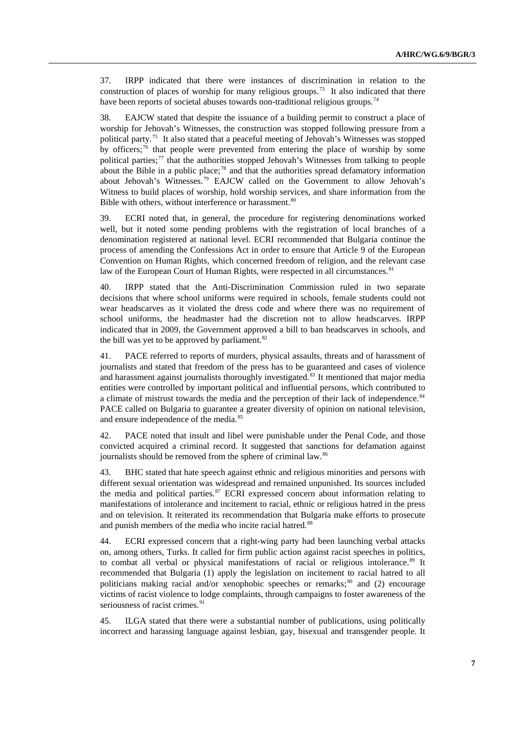37. IRPP indicated that there were instances of discrimination in relation to the construction of places of worship for many religious groups.<sup>[73](#page-13-1)</sup> It also indicated that there have been reports of societal abuses towards non-traditional religious groups.<sup>[74](#page-13-1)</sup>

38. EAJCW stated that despite the issuance of a building permit to construct a place of worship for Jehovah's Witnesses, the construction was stopped following pressure from a political party.[75](#page-13-1) It also stated that a peaceful meeting of Jehovah's Witnesses was stopped by officers; $\frac{7}{6}$  that people were prevented from entering the place of worship by some political parties;<sup>[77](#page-13-1)</sup> that the authorities stopped Jehovah's Witnesses from talking to people about the Bible in a public place;<sup>[78](#page-13-1)</sup> and that the authorities spread defamatory information about Jehovah's Witnesses.[79](#page-13-1) EAJCW called on the Government to allow Jehovah's Witness to build places of worship, hold worship services, and share information from the Bible with others, without interference or harassment.<sup>[80](#page-13-1)</sup>

39. ECRI noted that, in general, the procedure for registering denominations worked well, but it noted some pending problems with the registration of local branches of a denomination registered at national level. ECRI recommended that Bulgaria continue the process of amending the Confessions Act in order to ensure that Article 9 of the European Convention on Human Rights, which concerned freedom of religion, and the relevant case law of the European Court of Human Rights, were respected in all circumstances.<sup>[81](#page-13-1)</sup>

40. IRPP stated that the Anti-Discrimination Commission ruled in two separate decisions that where school uniforms were required in schools, female students could not wear headscarves as it violated the dress code and where there was no requirement of school uniforms, the headmaster had the discretion not to allow headscarves. IRPP indicated that in 2009, the Government approved a bill to ban headscarves in schools, and the bill was yet to be approved by parliament.<sup>[82](#page-13-1)</sup>

41. PACE referred to reports of murders, physical assaults, threats and of harassment of journalists and stated that freedom of the press has to be guaranteed and cases of violence and harassment against journalists thoroughly investigated.<sup>[83](#page-13-1)</sup> It mentioned that major media entities were controlled by important political and influential persons, which contributed to a climate of mistrust towards the media and the perception of their lack of independence.<sup>[84](#page-13-1)</sup> PACE called on Bulgaria to guarantee a greater diversity of opinion on national television, and ensure independence of the media.<sup>[85](#page-13-1)</sup>

42. PACE noted that insult and libel were punishable under the Penal Code, and those convicted acquired a criminal record. It suggested that sanctions for defamation against journalists should be removed from the sphere of criminal law.<sup>[86](#page-13-1)</sup>

43. BHC stated that hate speech against ethnic and religious minorities and persons with different sexual orientation was widespread and remained unpunished. Its sources included the media and political parties.<sup>[87](#page-13-1)</sup> ECRI expressed concern about information relating to manifestations of intolerance and incitement to racial, ethnic or religious hatred in the press and on television. It reiterated its recommendation that Bulgaria make efforts to prosecute and punish members of the media who incite racial hatred.<sup>[88](#page-13-1)</sup>

44. ECRI expressed concern that a right-wing party had been launching verbal attacks on, among others, Turks. It called for firm public action against racist speeches in politics, to combat all verbal or physical manifestations of racial or religious intolerance.<sup>[89](#page-13-1)</sup> It recommended that Bulgaria (1) apply the legislation on incitement to racial hatred to all politicians making racial and/or xenophobic speeches or remarks; $90$  and (2) encourage victims of racist violence to lodge complaints, through campaigns to foster awareness of the seriousness of racist crimes.<sup>[91](#page-13-1)</sup>

45. ILGA stated that there were a substantial number of publications, using politically incorrect and harassing language against lesbian, gay, bisexual and transgender people. It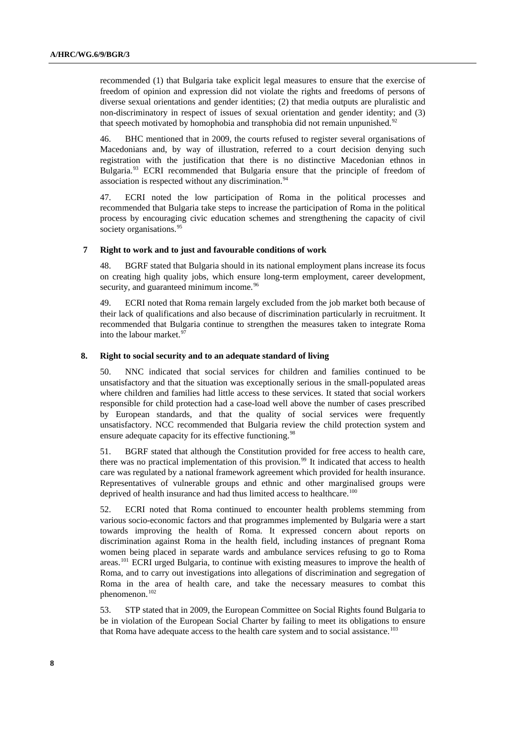recommended (1) that Bulgaria take explicit legal measures to ensure that the exercise of freedom of opinion and expression did not violate the rights and freedoms of persons of diverse sexual orientations and gender identities; (2) that media outputs are pluralistic and non-discriminatory in respect of issues of sexual orientation and gender identity; and (3) that speech motivated by homophobia and transphobia did not remain unpunished.<sup>[92](#page-13-1)</sup>

46. BHC mentioned that in 2009, the courts refused to register several organisations of Macedonians and, by way of illustration, referred to a court decision denying such registration with the justification that there is no distinctive Macedonian ethnos in Bulgaria.[93](#page-13-1) ECRI recommended that Bulgaria ensure that the principle of freedom of association is respected without any discrimination.<sup>[94](#page-13-1)</sup>

47. ECRI noted the low participation of Roma in the political processes and recommended that Bulgaria take steps to increase the participation of Roma in the political process by encouraging civic education schemes and strengthening the capacity of civil society organisations.<sup>[95](#page-13-1)</sup>

#### **7 Right to work and to just and favourable conditions of work**

48. BGRF stated that Bulgaria should in its national employment plans increase its focus on creating high quality jobs, which ensure long-term employment, career development, security, and guaranteed minimum income.<sup>[96](#page-13-1)</sup>

49. ECRI noted that Roma remain largely excluded from the job market both because of their lack of qualifications and also because of discrimination particularly in recruitment. It recommended that Bulgaria continue to strengthen the measures taken to integrate Roma into the labour market.<sup>[97](#page-13-1)</sup>

#### **8. Right to social security and to an adequate standard of living**

50. NNC indicated that social services for children and families continued to be unsatisfactory and that the situation was exceptionally serious in the small-populated areas where children and families had little access to these services. It stated that social workers responsible for child protection had a case-load well above the number of cases prescribed by European standards, and that the quality of social services were frequently unsatisfactory. NCC recommended that Bulgaria review the child protection system and ensure adequate capacity for its effective functioning.<sup>[98](#page-13-1)</sup>

51. BGRF stated that although the Constitution provided for free access to health care, there was no practical implementation of this provision.<sup>[99](#page-13-1)</sup> It indicated that access to health care was regulated by a national framework agreement which provided for health insurance. Representatives of vulnerable groups and ethnic and other marginalised groups were deprived of health insurance and had thus limited access to healthcare.<sup>[100](#page-13-1)</sup>

52. ECRI noted that Roma continued to encounter health problems stemming from various socio-economic factors and that programmes implemented by Bulgaria were a start towards improving the health of Roma. It expressed concern about reports on discrimination against Roma in the health field, including instances of pregnant Roma women being placed in separate wards and ambulance services refusing to go to Roma areas.<sup>[101](#page-13-1)</sup> ECRI urged Bulgaria, to continue with existing measures to improve the health of Roma, and to carry out investigations into allegations of discrimination and segregation of Roma in the area of health care, and take the necessary measures to combat this phenomenon.<sup>[102](#page-13-1)</sup>

53. STP stated that in 2009, the European Committee on Social Rights found Bulgaria to be in violation of the European Social Charter by failing to meet its obligations to ensure that Roma have adequate access to the health care system and to social assistance.<sup>[103](#page-13-1)</sup>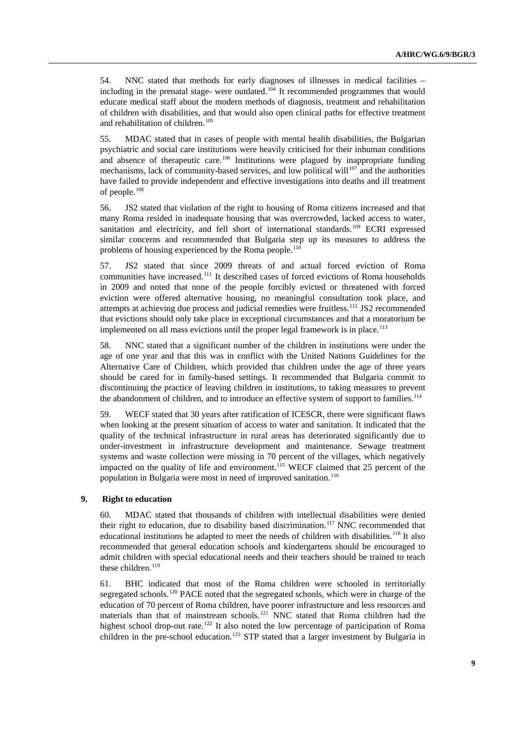54. NNC stated that methods for early diagnoses of illnesses in medical facilities – including in the prenatal stage- were outdated.<sup>[104](#page-13-1)</sup> It recommended programmes that would educate medical staff about the modern methods of diagnosis, treatment and rehabilitation of children with disabilities, and that would also open clinical paths for effective treatment and rehabilitation of children.<sup>[105](#page-13-1)</sup>

55. MDAC stated that in cases of people with mental health disabilities, the Bulgarian psychiatric and social care institutions were heavily criticised for their inhuman conditions and absence of therapeutic care.<sup>[106](#page-13-1)</sup> Institutions were plagued by inappropriate funding mechanisms, lack of community-based services, and low political will<sup>[107](#page-13-1)</sup> and the authorities have failed to provide independent and effective investigations into deaths and ill treatment of people.<sup>[108](#page-13-1)</sup>

56. JS2 stated that violation of the right to housing of Roma citizens increased and that many Roma resided in inadequate housing that was overcrowded, lacked access to water, sanitation and electricity, and fell short of international standards.<sup>109</sup> ECRI expressed similar concerns and recommended that Bulgaria step up its measures to address the problems of housing experienced by the Roma people.<sup>[110](#page-13-1)</sup>

57. JS2 stated that since 2009 threats of and actual forced eviction of Roma communities have increased.<sup>[111](#page-13-1)</sup> It described cases of forced evictions of Roma households in 2009 and noted that none of the people forcibly evicted or threatened with forced eviction were offered alternative housing, no meaningful consultation took place, and attempts at achieving due process and judicial remedies were fruitless.<sup>[112](#page-13-1)</sup> JS2 recommended that evictions should only take place in exceptional circumstances and that a moratorium be implemented on all mass evictions until the proper legal framework is in place. $113$ 

58. NNC stated that a significant number of the children in institutions were under the age of one year and that this was in conflict with the United Nations Guidelines for the Alternative Care of Children, which provided that children under the age of three years should be cared for in family-based settings. It recommended that Bulgaria commit to discontinuing the practice of leaving children in institutions, to taking measures to prevent the abandonment of children, and to introduce an effective system of support to families.<sup>[114](#page-13-1)</sup>

59. WECF stated that 30 years after ratification of ICESCR, there were significant flaws when looking at the present situation of access to water and sanitation. It indicated that the quality of the technical infrastructure in rural areas has deteriorated significantly due to under-investment in infrastructure development and maintenance. Sewage treatment systems and waste collection were missing in 70 percent of the villages, which negatively impacted on the quality of life and environment.<sup>[115](#page-13-1)</sup> WECF claimed that 25 percent of the population in Bulgaria were most in need of improved sanitation.<sup>[116](#page-13-1)</sup>

## **9. Right to education**

60. MDAC stated that thousands of children with intellectual disabilities were denied their right to education, due to disability based discrimination.<sup>[117](#page-13-1)</sup> NNC recommended that educational institutions be adapted to meet the needs of children with disabilities.<sup>[118](#page-13-1)</sup> It also recommended that general education schools and kindergartens should be encouraged to admit children with special educational needs and their teachers should be trained to teach these children.<sup>[119](#page-13-1)</sup>

61. BHC indicated that most of the Roma children were schooled in territorially segregated schools.<sup>[120](#page-13-1)</sup> PACE noted that the segregated schools, which were in charge of the education of 70 percent of Roma children, have poorer infrastructure and less resources and materials than that of mainstream schools.[121](#page-13-1) NNC stated that Roma children had the highest school drop-out rate.<sup>[122](#page-13-1)</sup> It also noted the low percentage of participation of Roma children in the pre-school education.<sup>[123](#page-13-1)</sup> STP stated that a larger investment by Bulgaria in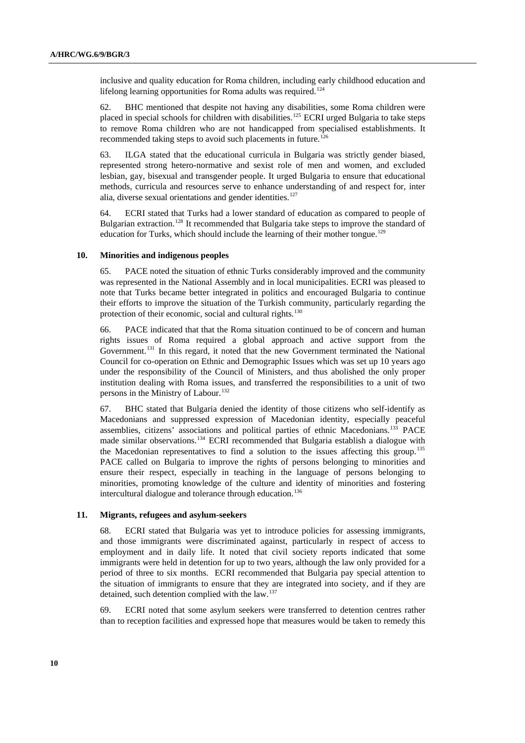inclusive and quality education for Roma children, including early childhood education and lifelong learning opportunities for Roma adults was required.<sup>[124](#page-13-1)</sup>

62. BHC mentioned that despite not having any disabilities, some Roma children were placed in special schools for children with disabilities.<sup>[125](#page-13-1)</sup> ECRI urged Bulgaria to take steps to remove Roma children who are not handicapped from specialised establishments. It recommended taking steps to avoid such placements in future.<sup>[126](#page-13-1)</sup>

63. ILGA stated that the educational curricula in Bulgaria was strictly gender biased, represented strong hetero-normative and sexist role of men and women, and excluded lesbian, gay, bisexual and transgender people. It urged Bulgaria to ensure that educational methods, curricula and resources serve to enhance understanding of and respect for, inter alia, diverse sexual orientations and gender identities.<sup>[127](#page-13-1)</sup>

64. ECRI stated that Turks had a lower standard of education as compared to people of Bulgarian extraction.<sup>[128](#page-13-1)</sup> It recommended that Bulgaria take steps to improve the standard of education for Turks, which should include the learning of their mother tongue.<sup>[129](#page-13-1)</sup>

#### **10. Minorities and indigenous peoples**

65. PACE noted the situation of ethnic Turks considerably improved and the community was represented in the National Assembly and in local municipalities. ECRI was pleased to note that Turks became better integrated in politics and encouraged Bulgaria to continue their efforts to improve the situation of the Turkish community, particularly regarding the protection of their economic, social and cultural rights.<sup>[130](#page-13-1)</sup>

66. PACE indicated that that the Roma situation continued to be of concern and human rights issues of Roma required a global approach and active support from the Government.<sup>[131](#page-13-1)</sup> In this regard, it noted that the new Government terminated the National Council for co-operation on Ethnic and Demographic Issues which was set up 10 years ago under the responsibility of the Council of Ministers, and thus abolished the only proper institution dealing with Roma issues, and transferred the responsibilities to a unit of two persons in the Ministry of Labour.<sup>[132](#page-13-1)</sup>

67. BHC stated that Bulgaria denied the identity of those citizens who self-identify as Macedonians and suppressed expression of Macedonian identity, especially peaceful assemblies, citizens' associations and political parties of ethnic Macedonians.<sup>[133](#page-13-1)</sup> PACE made similar observations.[134](#page-13-1) ECRI recommended that Bulgaria establish a dialogue with the Macedonian representatives to find a solution to the issues affecting this group.<sup>[135](#page-13-1)</sup> PACE called on Bulgaria to improve the rights of persons belonging to minorities and ensure their respect, especially in teaching in the language of persons belonging to minorities, promoting knowledge of the culture and identity of minorities and fostering intercultural dialogue and tolerance through education.<sup>[136](#page-13-1)</sup>

#### **11. Migrants, refugees and asylum-seekers**

68. ECRI stated that Bulgaria was yet to introduce policies for assessing immigrants, and those immigrants were discriminated against, particularly in respect of access to employment and in daily life. It noted that civil society reports indicated that some immigrants were held in detention for up to two years, although the law only provided for a period of three to six months. ECRI recommended that Bulgaria pay special attention to the situation of immigrants to ensure that they are integrated into society, and if they are detained, such detention complied with the law.<sup>[137](#page-13-1)</sup>

69. ECRI noted that some asylum seekers were transferred to detention centres rather than to reception facilities and expressed hope that measures would be taken to remedy this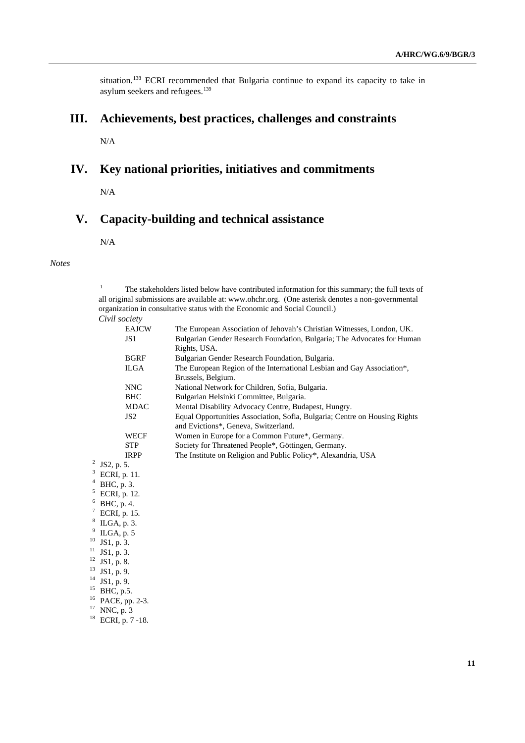situation.<sup>[138](#page-13-1)</sup> ECRI recommended that Bulgaria continue to expand its capacity to take in asylum seekers and refugees.<sup>[139](#page-13-2)</sup>

# **III. Achievements, best practices, challenges and constraints**

N/A

## **IV. Key national priorities, initiatives and commitments**

N/A

# **V. Capacity-building and technical assistance**

N/A

#### *Notes*

1 The stakeholders listed below have contributed information for this summary; the full texts of all original submissions are available at: [www.ohchr.org](http://www.ohchr.org/). (One asterisk denotes a non-governmental organization in consultative status with the Economic and Social Council.)

| Civil society |
|---------------|
|               |

|                        | <b>EAJCW</b>         | The European Association of Jehovah's Christian Witnesses, London, UK.     |
|------------------------|----------------------|----------------------------------------------------------------------------|
|                        | JS1                  | Bulgarian Gender Research Foundation, Bulgaria; The Advocates for Human    |
|                        |                      | Rights, USA.                                                               |
|                        | <b>BGRF</b>          | Bulgarian Gender Research Foundation, Bulgaria.                            |
|                        | <b>ILGA</b>          | The European Region of the International Lesbian and Gay Association*,     |
|                        |                      | Brussels, Belgium.                                                         |
|                        | <b>NNC</b>           | National Network for Children, Sofia, Bulgaria.                            |
|                        | <b>BHC</b>           | Bulgarian Helsinki Committee, Bulgaria.                                    |
|                        | <b>MDAC</b>          | Mental Disability Advocacy Centre, Budapest, Hungry.                       |
|                        | JS <sub>2</sub>      | Equal Opportunities Association, Sofia, Bulgaria; Centre on Housing Rights |
|                        |                      | and Evictions*, Geneva, Switzerland.                                       |
|                        | <b>WECF</b>          | Women in Europe for a Common Future*, Germany.                             |
|                        | <b>STP</b>           | Society for Threatened People*, Göttingen, Germany.                        |
|                        | <b>IRPP</b>          | The Institute on Religion and Public Policy*, Alexandria, USA              |
|                        | 2<br>JS2, p. 5.      |                                                                            |
|                        | 3<br>ECRI, p. 11.    |                                                                            |
| 4<br>BHC, p. 3.        |                      |                                                                            |
|                        | 5<br>ECRI, p. 12.    |                                                                            |
|                        | 6<br>BHC, p. 4.      |                                                                            |
| $\tau$<br>ECRI, p. 15. |                      |                                                                            |
| 8<br>ILGA, p. 3.       |                      |                                                                            |
| 9<br>ILGA, p. 5        |                      |                                                                            |
| 10<br>JS1, p. 3.       |                      |                                                                            |
|                        | 11<br>JS1, p. 3.     |                                                                            |
|                        | $12$ JS1, p. 8.      |                                                                            |
| 13<br>JS1, p. 9.       |                      |                                                                            |
|                        | $14$ JS1, p. 9.      |                                                                            |
|                        | $^{15}$ BHC, p.5.    |                                                                            |
|                        | 16<br>PACE, pp. 2-3. |                                                                            |
|                        | 17<br>NNC, p. 3      |                                                                            |
|                        |                      |                                                                            |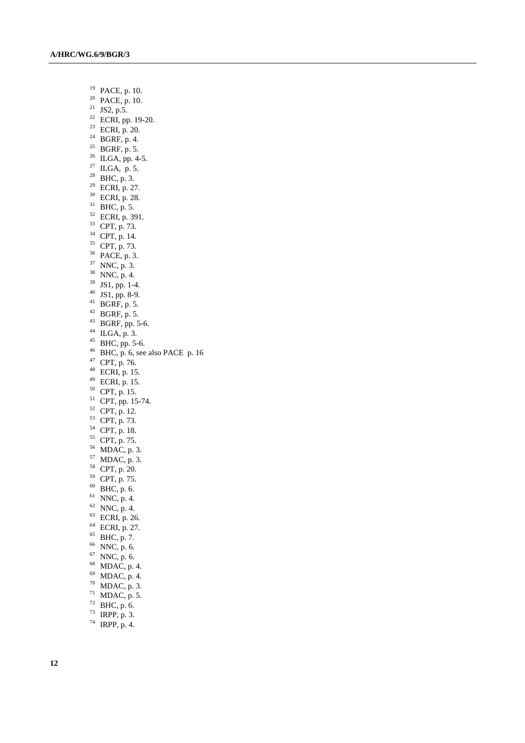- 19 PACE, p. 10.
- 20 PACE, p. 10.
- $21$  JS2, p.5.
- 22 ECRI, pp. 19-20.
- 23 ECRI, p. 20.
- $^{24}$  BGRF, p. 4.
- <sup>25</sup> BGRF, p. 5.
- $26$  ILGA, pp. 4-5.
- $27$  ILGA, p. 5.
- $^{28}$  BHC, p. 3.
- 29 ECRI, p. 27.
- 30 ECRI, p. 28.
- $31$  BHC, p. 5.
- 32 ECRI, p. 391.
- 33 CPT, p. 73.
- 34 CPT, p. 14.
- 35 CPT, p. 73.
- 36 PACE, p. 3.
- 37 NNC, p. 3.
- 38 NNC, p. 4.
- $39 \text{ JS1, pp. } 1-4.$
- 40 JS1, pp. 8-9.
- 
- $^{41}$  BGRF, p. 5.
- $42$  BGRF, p. 5.
- $43$  BGRF, pp. 5-6.
- 44 ILGA, p. 3.
- $45$  BHC, pp. 5-6.
- $^{46}$  BHC, p. 6, see also PACE p. 16
- 47 CPT, p. 76.
- $48$  ECRI, p. 15.
- $^{49}$  ECRI, p. 15.
- 50 CPT, p. 15.
- $51$  CPT, pp. 15-74.
- $52$  CPT, p. 12.
- 53 CPT, p. 73.
- 54 CPT, p. 18.
- 55 CPT, p. 75.
- 56 MDAC, p. 3.
- $57$  MDAC, p. 3.
- 58 CPT, p. 20.
- 
- 59 CPT, p. 75.
- $60$  BHC, p. 6.
- $61$  NNC, p. 4.
- $62$  NNC, p. 4.
- $63$  ECRI, p. 26.
- 64 ECRI, p. 27.
- 65 BHC, p. 7.
- 66 NNC, p. 6.
- 67 NNC, p. 6.
- 68 MDAC, p. 4.
- 69 MDAC, p. 4.
- 70 MDAC, p. 3.
- $71$  MDAC, p. 5.
- 
- $72$  BHC, p. 6.  $73$  IRPP, p. 3.
- 
- 74 IRPP, p. 4.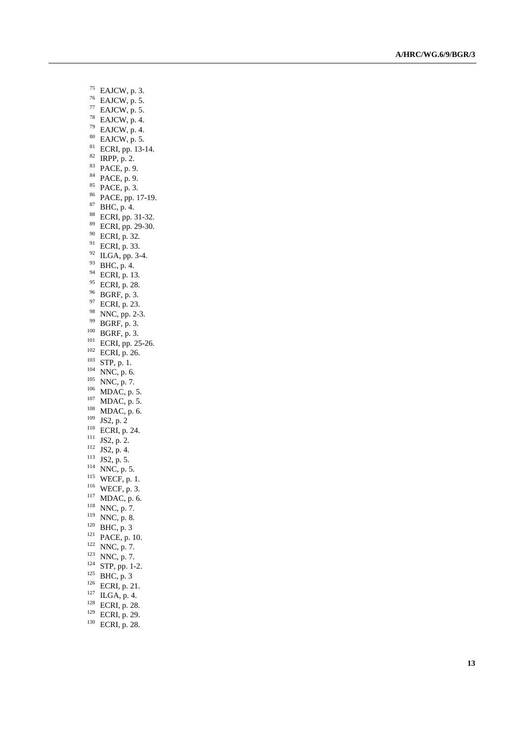- 75 EAJCW, p. 3.
- 76 EAJCW, p. 5.
- 77 EAJCW, p. 5.
- 78 EAJCW, p. 4.
- $79$  EAJCW, p. 4.
- $80$  EAJCW, p. 5.
- 81 ECRI, pp. 13-14.
- $82$  IRPP,  $p. 2$ .
- 83 PACE, p. 9.
- 84 PACE, p. 9.
- 85 PACE, p. 3.
- 86 PACE, pp. 17-19.
- 87 BHC, p. 4.
- 88 ECRI, pp. 31-32.
- 89 ECRI, pp. 29-30.
- 90 ECRI, p. 32.
- 91 ECRI, p. 33.
- 92 ILGA, pp. 3-4.
- 93 BHC, p. 4.
- 94 ECRI, p. 13.
- 95 ECRI, p. 28.
- 96 BGRF, p. 3.
- 97 ECRI, p. 23.
- 
- <sup>98</sup> NNC, pp. 2-3.<br><sup>99</sup> BGRF, p. 3.
- 
- <sup>99</sup> BGRF, p. 3.<br>
<sup>101</sup> BGRF, p. 3.<br>
<sup>101</sup> ECRI, pp. 25-26.<br>
<sup>102</sup> ECRI, p. 26.<br>
<sup>102</sup> ECRI, p. 26.<br>
<sup>103</sup> ECRI, p. 26.<br>
<sup>103</sup> STP, p. 1.<br>
<sup>104</sup> NNC, p. 5.<br>
<sup>105</sup> MDAC, p. 5.<br>
<sup>103</sup> MDAC, p. 5.<br>
<sup>103</sup> IS2, p. 2<br>
<sup>110</sup> ECRI
- 
- 
- 
- 
- 
- 
- 
- 
- 
- 
- 
- 
- 
- 
- 
- 
- 
- 
- 
- 
- 
- 
- 
- 
- 
- 
- 
- 
- 
-